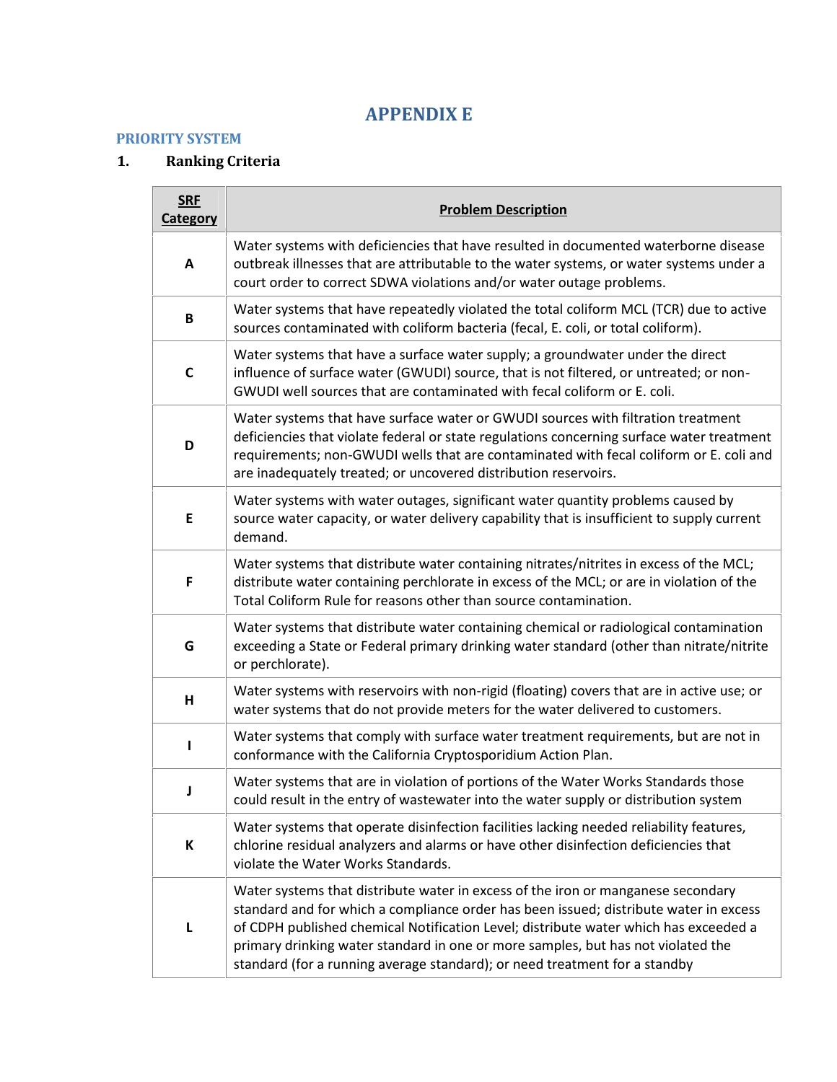## **APPENDIX E**

#### **PRIORITY SYSTEM**

### **1. Ranking Criteria**

| <b>SRF</b><br><b>Category</b> | <b>Problem Description</b>                                                                                                                                                                                                                                                                                                                                                                                                          |
|-------------------------------|-------------------------------------------------------------------------------------------------------------------------------------------------------------------------------------------------------------------------------------------------------------------------------------------------------------------------------------------------------------------------------------------------------------------------------------|
| $\boldsymbol{\mathsf{A}}$     | Water systems with deficiencies that have resulted in documented waterborne disease<br>outbreak illnesses that are attributable to the water systems, or water systems under a<br>court order to correct SDWA violations and/or water outage problems.                                                                                                                                                                              |
| B                             | Water systems that have repeatedly violated the total coliform MCL (TCR) due to active<br>sources contaminated with coliform bacteria (fecal, E. coli, or total coliform).                                                                                                                                                                                                                                                          |
| C                             | Water systems that have a surface water supply; a groundwater under the direct<br>influence of surface water (GWUDI) source, that is not filtered, or untreated; or non-<br>GWUDI well sources that are contaminated with fecal coliform or E. coli.                                                                                                                                                                                |
| D                             | Water systems that have surface water or GWUDI sources with filtration treatment<br>deficiencies that violate federal or state regulations concerning surface water treatment<br>requirements; non-GWUDI wells that are contaminated with fecal coliform or E. coli and<br>are inadequately treated; or uncovered distribution reservoirs.                                                                                          |
| E                             | Water systems with water outages, significant water quantity problems caused by<br>source water capacity, or water delivery capability that is insufficient to supply current<br>demand.                                                                                                                                                                                                                                            |
| F                             | Water systems that distribute water containing nitrates/nitrites in excess of the MCL;<br>distribute water containing perchlorate in excess of the MCL; or are in violation of the<br>Total Coliform Rule for reasons other than source contamination.                                                                                                                                                                              |
| G                             | Water systems that distribute water containing chemical or radiological contamination<br>exceeding a State or Federal primary drinking water standard (other than nitrate/nitrite<br>or perchlorate).                                                                                                                                                                                                                               |
| Н                             | Water systems with reservoirs with non-rigid (floating) covers that are in active use; or<br>water systems that do not provide meters for the water delivered to customers.                                                                                                                                                                                                                                                         |
|                               | Water systems that comply with surface water treatment requirements, but are not in<br>conformance with the California Cryptosporidium Action Plan.                                                                                                                                                                                                                                                                                 |
| J                             | Water systems that are in violation of portions of the Water Works Standards those<br>could result in the entry of wastewater into the water supply or distribution system                                                                                                                                                                                                                                                          |
| К                             | Water systems that operate disinfection facilities lacking needed reliability features,<br>chlorine residual analyzers and alarms or have other disinfection deficiencies that<br>violate the Water Works Standards.                                                                                                                                                                                                                |
| L                             | Water systems that distribute water in excess of the iron or manganese secondary<br>standard and for which a compliance order has been issued; distribute water in excess<br>of CDPH published chemical Notification Level; distribute water which has exceeded a<br>primary drinking water standard in one or more samples, but has not violated the<br>standard (for a running average standard); or need treatment for a standby |